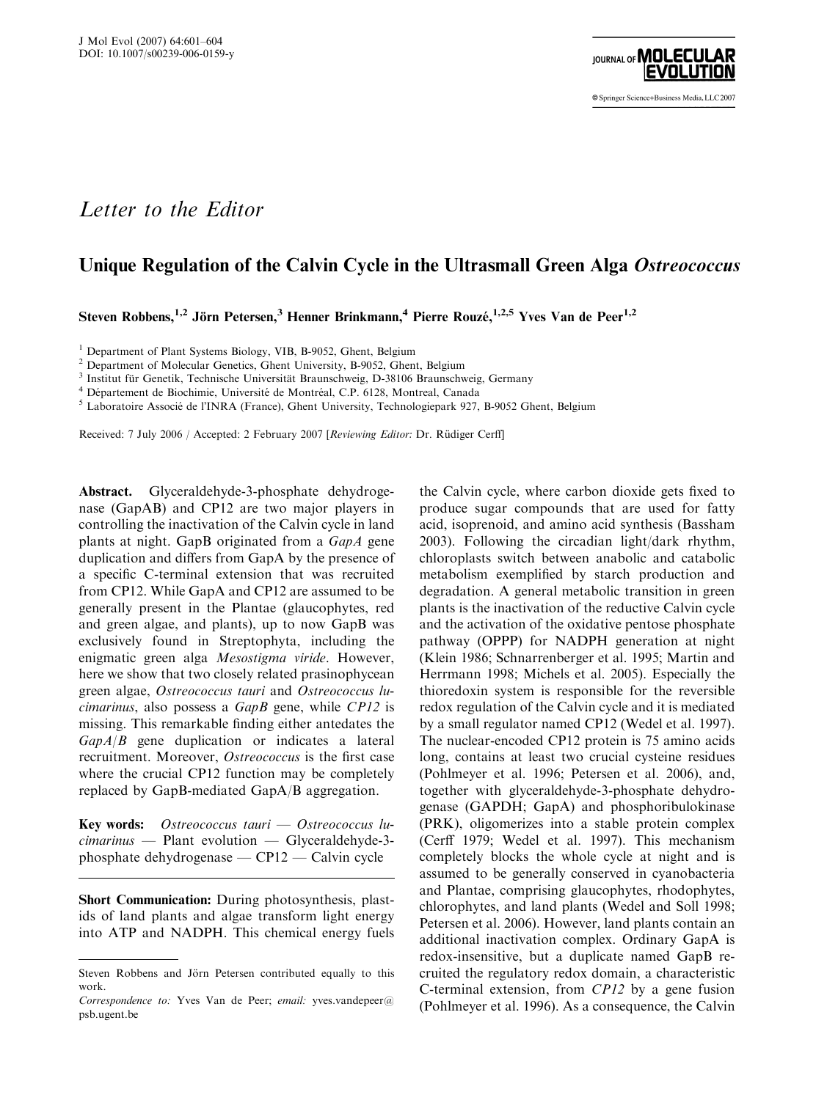

## Letter to the Editor

## Unique Regulation of the Calvin Cycle in the Ultrasmall Green Alga Ostreococcus

Steven Robbens,<sup>1,2</sup> Jörn Petersen,<sup>3</sup> Henner Brinkmann,<sup>4</sup> Pierre Rouzé,<sup>1,2,5</sup> Yves Van de Peer<sup>1,2</sup>

<sup>1</sup> Department of Plant Systems Biology, VIB, B-9052, Ghent, Belgium

<sup>2</sup> Department of Molecular Genetics, Ghent University, B-9052, Ghent, Belgium<br><sup>3</sup> Institut für Genetik, Technische Universität Braunschweig, D-38106 Braunschweig, Germany

<sup>4</sup> Département de Biochimie, Université de Montréal, C.P. 6128, Montreal, Canada<br><sup>5</sup> Laboratoire Associé de l'INRA (France), Ghent University, Technologiepark 927, B-9052 Ghent, Belgium

Received: 7 July 2006 / Accepted: 2 February 2007 [Reviewing Editor: Dr. Rüdiger Cerff]

Abstract. Glyceraldehyde-3-phosphate dehydrogenase (GapAB) and CP12 are two major players in controlling the inactivation of the Calvin cycle in land plants at night. GapB originated from a GapA gene duplication and differs from GapA by the presence of a specific C-terminal extension that was recruited from CP12. While GapA and CP12 are assumed to be generally present in the Plantae (glaucophytes, red and green algae, and plants), up to now GapB was exclusively found in Streptophyta, including the enigmatic green alga Mesostigma viride. However, here we show that two closely related prasinophycean green algae, Ostreococcus tauri and Ostreococcus lucimarinus, also possess a GapB gene, while CP12 is missing. This remarkable finding either antedates the  $GapA/B$  gene duplication or indicates a lateral recruitment. Moreover, Ostreococcus is the first case where the crucial CP12 function may be completely replaced by GapB-mediated GapA/B aggregation.

Key words: Ostreococcus tauri — Ostreococcus lucimarinus — Plant evolution — Glyceraldehyde-3 phosphate dehydrogenase — CP12 — Calvin cycle

Short Communication: During photosynthesis, plastids of land plants and algae transform light energy into ATP and NADPH. This chemical energy fuels the Calvin cycle, where carbon dioxide gets fixed to produce sugar compounds that are used for fatty acid, isoprenoid, and amino acid synthesis (Bassham 2003). Following the circadian light/dark rhythm, chloroplasts switch between anabolic and catabolic metabolism exemplified by starch production and degradation. A general metabolic transition in green plants is the inactivation of the reductive Calvin cycle and the activation of the oxidative pentose phosphate pathway (OPPP) for NADPH generation at night (Klein 1986; Schnarrenberger et al. 1995; Martin and Herrmann 1998; Michels et al. 2005). Especially the thioredoxin system is responsible for the reversible redox regulation of the Calvin cycle and it is mediated by a small regulator named CP12 (Wedel et al. 1997). The nuclear-encoded CP12 protein is 75 amino acids long, contains at least two crucial cysteine residues (Pohlmeyer et al. 1996; Petersen et al. 2006), and, together with glyceraldehyde-3-phosphate dehydrogenase (GAPDH; GapA) and phosphoribulokinase (PRK), oligomerizes into a stable protein complex (Cerff 1979; Wedel et al. 1997). This mechanism completely blocks the whole cycle at night and is assumed to be generally conserved in cyanobacteria and Plantae, comprising glaucophytes, rhodophytes, chlorophytes, and land plants (Wedel and Soll 1998; Petersen et al. 2006). However, land plants contain an additional inactivation complex. Ordinary GapA is redox-insensitive, but a duplicate named GapB recruited the regulatory redox domain, a characteristic C-terminal extension, from CP12 by a gene fusion (Pohlmeyer et al. 1996). As a consequence, the Calvin

Steven Robbens and Jörn Petersen contributed equally to this work.

Correspondence to: Yves Van de Peer; email: yves.vandepeer@ psb.ugent.be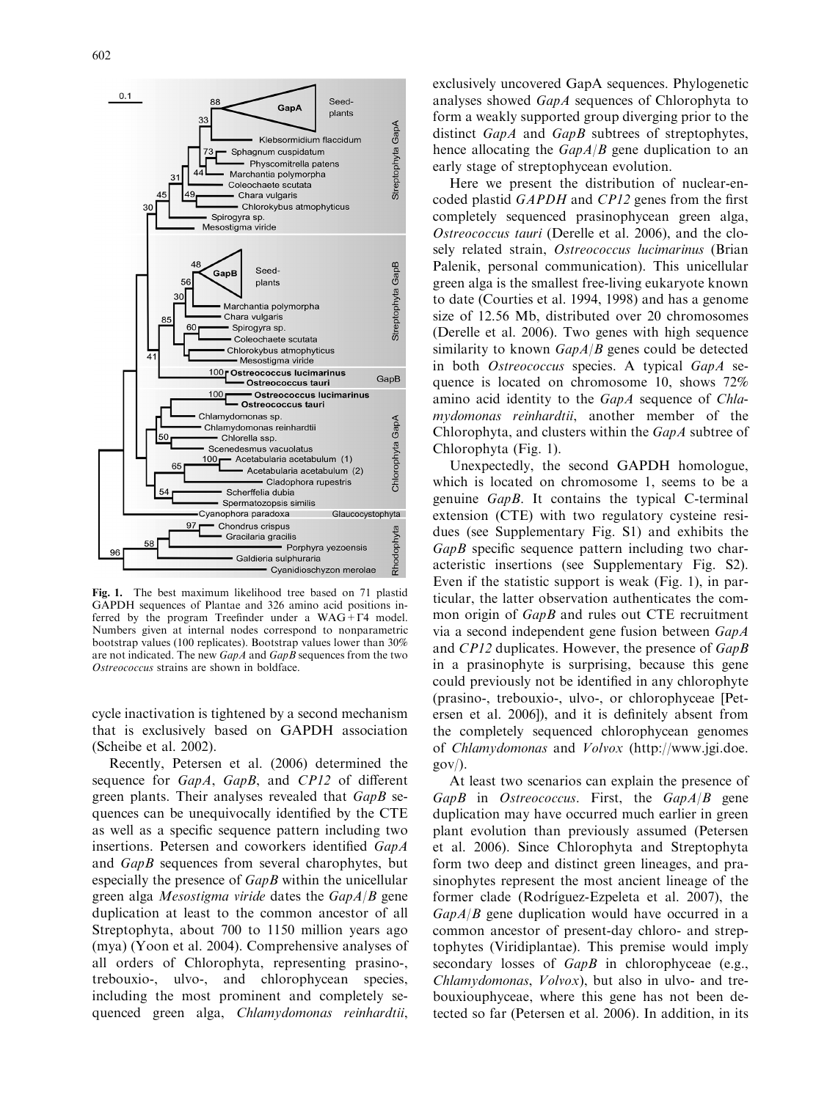

Fig. 1. The best maximum likelihood tree based on 71 plastid GAPDH sequences of Plantae and 326 amino acid positions inferred by the program Treefinder under a  $WAG + \Gamma4$  model. Numbers given at internal nodes correspond to nonparametric bootstrap values (100 replicates). Bootstrap values lower than 30% are not indicated. The new GapA and GapB sequences from the two Ostreococcus strains are shown in boldface.

cycle inactivation is tightened by a second mechanism that is exclusively based on GAPDH association (Scheibe et al. 2002).

Recently, Petersen et al. (2006) determined the sequence for *GapA*, *GapB*, and *CP12* of different green plants. Their analyses revealed that GapB sequences can be unequivocally identified by the CTE as well as a specific sequence pattern including two insertions. Petersen and coworkers identified GapA and GapB sequences from several charophytes, but especially the presence of GapB within the unicellular green alga *Mesostigma viride* dates the  $GapA/B$  gene duplication at least to the common ancestor of all Streptophyta, about 700 to 1150 million years ago (mya) (Yoon et al. 2004). Comprehensive analyses of all orders of Chlorophyta, representing prasino-, trebouxio-, ulvo-, and chlorophycean species, including the most prominent and completely sequenced green alga, Chlamydomonas reinhardtii,

exclusively uncovered GapA sequences. Phylogenetic analyses showed GapA sequences of Chlorophyta to form a weakly supported group diverging prior to the distinct GapA and GapB subtrees of streptophytes, hence allocating the  $GapA/B$  gene duplication to an early stage of streptophycean evolution.

Here we present the distribution of nuclear-encoded plastid GAPDH and CP12 genes from the first completely sequenced prasinophycean green alga, Ostreococcus tauri (Derelle et al. 2006), and the closely related strain, Ostreococcus lucimarinus (Brian Palenik, personal communication). This unicellular green alga is the smallest free-living eukaryote known to date (Courties et al. 1994, 1998) and has a genome size of 12.56 Mb, distributed over 20 chromosomes (Derelle et al. 2006). Two genes with high sequence similarity to known  $GapA/B$  genes could be detected in both Ostreococcus species. A typical GapA sequence is located on chromosome 10, shows 72% amino acid identity to the GapA sequence of Chlamydomonas reinhardtii, another member of the Chlorophyta, and clusters within the GapA subtree of Chlorophyta (Fig. 1).

Unexpectedly, the second GAPDH homologue, which is located on chromosome 1, seems to be a genuine GapB. It contains the typical C-terminal extension (CTE) with two regulatory cysteine residues (see Supplementary Fig. S1) and exhibits the GapB specific sequence pattern including two characteristic insertions (see Supplementary Fig. S2). Even if the statistic support is weak (Fig. 1), in particular, the latter observation authenticates the common origin of *GapB* and rules out CTE recruitment via a second independent gene fusion between GapA and CP12 duplicates. However, the presence of GapB in a prasinophyte is surprising, because this gene could previously not be identified in any chlorophyte (prasino-, trebouxio-, ulvo-, or chlorophyceae [Petersen et al. 2006]), and it is definitely absent from the completely sequenced chlorophycean genomes of Chlamydomonas and Volvox (http://www.jgi.doe.  $gov$ ).

At least two scenarios can explain the presence of  $GapB$  in Ostreococcus. First, the  $GapA/B$  gene duplication may have occurred much earlier in green plant evolution than previously assumed (Petersen et al. 2006). Since Chlorophyta and Streptophyta form two deep and distinct green lineages, and prasinophytes represent the most ancient lineage of the former clade (Rodríguez-Ezpeleta et al. 2007), the  $GapA/B$  gene duplication would have occurred in a common ancestor of present-day chloro- and streptophytes (Viridiplantae). This premise would imply secondary losses of *GapB* in chlorophyceae (e.g., Chlamydomonas, Volvox), but also in ulvo- and trebouxiouphyceae, where this gene has not been detected so far (Petersen et al. 2006). In addition, in its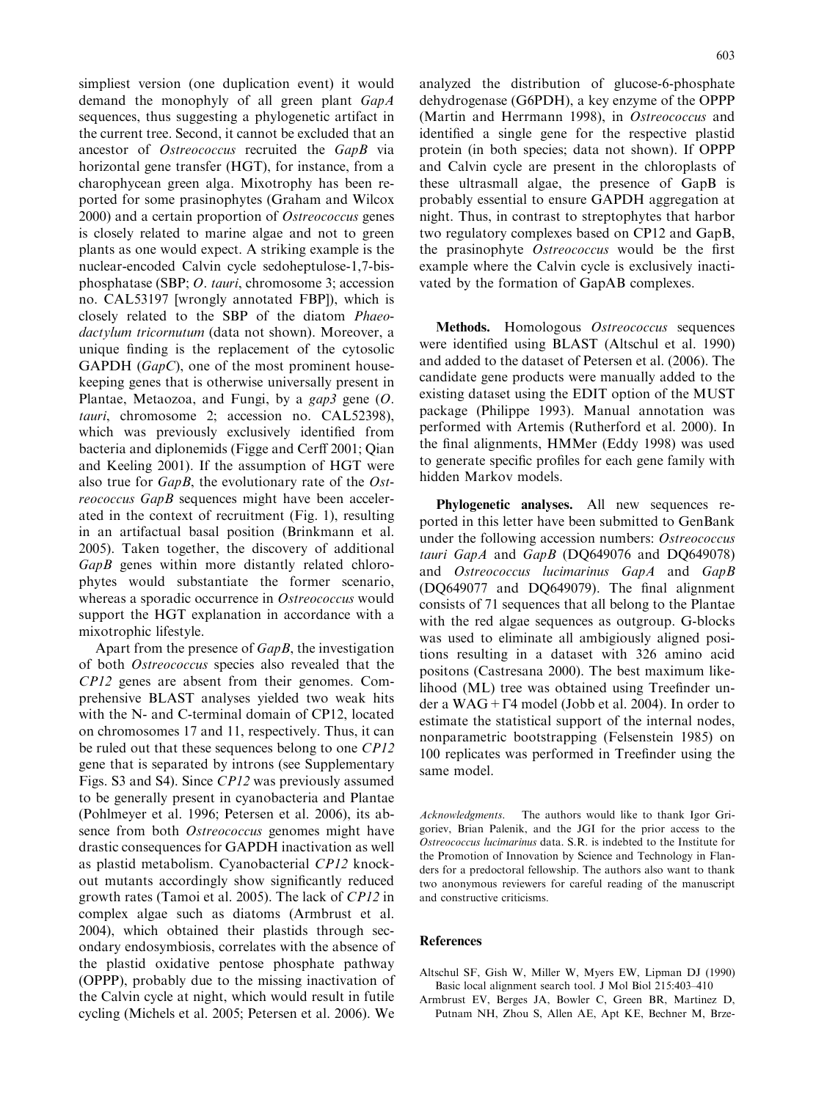simpliest version (one duplication event) it would demand the monophyly of all green plant GapA sequences, thus suggesting a phylogenetic artifact in the current tree. Second, it cannot be excluded that an ancestor of Ostreococcus recruited the GapB via horizontal gene transfer (HGT), for instance, from a charophycean green alga. Mixotrophy has been reported for some prasinophytes (Graham and Wilcox 2000) and a certain proportion of Ostreococcus genes is closely related to marine algae and not to green plants as one would expect. A striking example is the nuclear-encoded Calvin cycle sedoheptulose-1,7-bisphosphatase (SBP; O. tauri, chromosome 3; accession no. CAL53197 [wrongly annotated FBP]), which is closely related to the SBP of the diatom Phaeodactylum tricornutum (data not shown). Moreover, a unique finding is the replacement of the cytosolic GAPDH  $(GapC)$ , one of the most prominent housekeeping genes that is otherwise universally present in Plantae, Metaozoa, and Fungi, by a  $\varrho$  gap3 gene (O. tauri, chromosome 2; accession no. CAL52398), which was previously exclusively identified from bacteria and diplonemids (Figge and Cerff 2001; Qian and Keeling 2001). If the assumption of HGT were also true for GapB, the evolutionary rate of the Ostreococcus GapB sequences might have been accelerated in the context of recruitment (Fig. 1), resulting in an artifactual basal position (Brinkmann et al. 2005). Taken together, the discovery of additional GapB genes within more distantly related chlorophytes would substantiate the former scenario, whereas a sporadic occurrence in Ostreococcus would support the HGT explanation in accordance with a mixotrophic lifestyle.

Apart from the presence of *GapB*, the investigation of both Ostreococcus species also revealed that the CP12 genes are absent from their genomes. Comprehensive BLAST analyses yielded two weak hits with the N- and C-terminal domain of CP12, located on chromosomes 17 and 11, respectively. Thus, it can be ruled out that these sequences belong to one CP12 gene that is separated by introns (see Supplementary Figs. S3 and S4). Since CP12 was previously assumed to be generally present in cyanobacteria and Plantae (Pohlmeyer et al. 1996; Petersen et al. 2006), its absence from both Ostreococcus genomes might have drastic consequences for GAPDH inactivation as well as plastid metabolism. Cyanobacterial CP12 knockout mutants accordingly show significantly reduced growth rates (Tamoi et al. 2005). The lack of CP12 in complex algae such as diatoms (Armbrust et al. 2004), which obtained their plastids through secondary endosymbiosis, correlates with the absence of the plastid oxidative pentose phosphate pathway (OPPP), probably due to the missing inactivation of the Calvin cycle at night, which would result in futile cycling (Michels et al. 2005; Petersen et al. 2006). We analyzed the distribution of glucose-6-phosphate dehydrogenase (G6PDH), a key enzyme of the OPPP (Martin and Herrmann 1998), in Ostreococcus and identified a single gene for the respective plastid protein (in both species; data not shown). If OPPP and Calvin cycle are present in the chloroplasts of these ultrasmall algae, the presence of GapB is probably essential to ensure GAPDH aggregation at night. Thus, in contrast to streptophytes that harbor two regulatory complexes based on CP12 and GapB, the prasinophyte Ostreococcus would be the first example where the Calvin cycle is exclusively inactivated by the formation of GapAB complexes.

Methods. Homologous Ostreococcus sequences were identified using BLAST (Altschul et al. 1990) and added to the dataset of Petersen et al. (2006). The candidate gene products were manually added to the existing dataset using the EDIT option of the MUST package (Philippe 1993). Manual annotation was performed with Artemis (Rutherford et al. 2000). In the final alignments, HMMer (Eddy 1998) was used to generate specific profiles for each gene family with hidden Markov models.

Phylogenetic analyses. All new sequences reported in this letter have been submitted to GenBank under the following accession numbers: Ostreococcus tauri GapA and GapB (DQ649076 and DQ649078) and Ostreococcus lucimarinus GapA and GapB (DQ649077 and DQ649079). The final alignment consists of 71 sequences that all belong to the Plantae with the red algae sequences as outgroup. G-blocks was used to eliminate all ambigiously aligned positions resulting in a dataset with 326 amino acid positons (Castresana 2000). The best maximum likelihood (ML) tree was obtained using Treefinder under a WAG +  $\Gamma$ 4 model (Jobb et al. 2004). In order to estimate the statistical support of the internal nodes, nonparametric bootstrapping (Felsenstein 1985) on 100 replicates was performed in Treefinder using the same model.

Acknowledgments. The authors would like to thank Igor Grigoriev, Brian Palenik, and the JGI for the prior access to the Ostreococcus lucimarinus data. S.R. is indebted to the Institute for the Promotion of Innovation by Science and Technology in Flanders for a predoctoral fellowship. The authors also want to thank two anonymous reviewers for careful reading of the manuscript and constructive criticisms.

## References

- Altschul SF, Gish W, Miller W, Myers EW, Lipman DJ (1990) Basic local alignment search tool. J Mol Biol 215:403–410
- Armbrust EV, Berges JA, Bowler C, Green BR, Martinez D, Putnam NH, Zhou S, Allen AE, Apt KE, Bechner M, Brze-